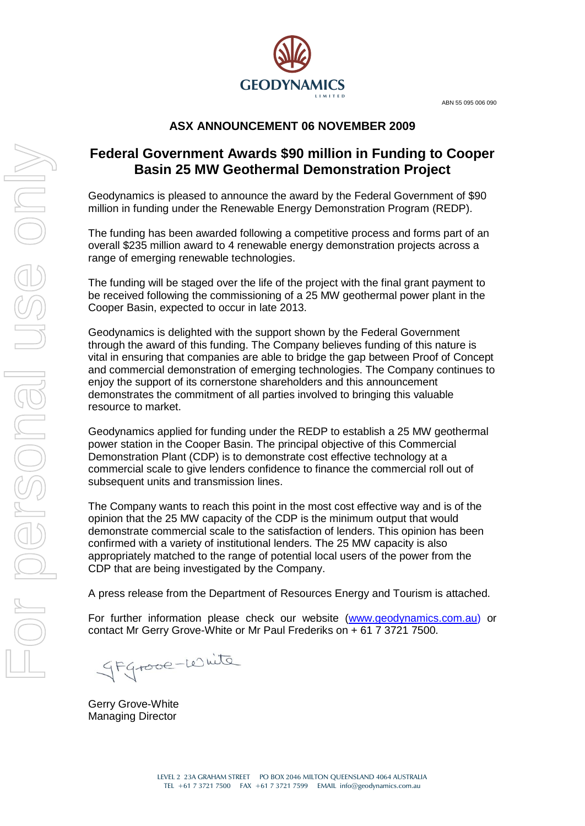ABN 55 095 006 090



# **ASX ANNOUNCEMENT 06 NOVEMBER 2009**

# **Federal Government Awards \$90 million in Funding to Cooper Basin 25 MW Geothermal Demonstration Project**

Geodynamics is pleased to announce the award by the Federal Government of \$90 million in funding under the Renewable Energy Demonstration Program (REDP).

The funding has been awarded following a competitive process and forms part of an overall \$235 million award to 4 renewable energy demonstration projects across a range of emerging renewable technologies.

The funding will be staged over the life of the project with the final grant payment to be received following the commissioning of a 25 MW geothermal power plant in the Cooper Basin, expected to occur in late 2013.

Geodynamics is delighted with the support shown by the Federal Government through the award of this funding. The Company believes funding of this nature is vital in ensuring that companies are able to bridge the gap between Proof of Concept and commercial demonstration of emerging technologies. The Company continues to enjoy the support of its cornerstone shareholders and this announcement demonstrates the commitment of all parties involved to bringing this valuable resource to market.

Geodynamics applied for funding under the REDP to establish a 25 MW geothermal power station in the Cooper Basin. The principal objective of this Commercial Demonstration Plant (CDP) is to demonstrate cost effective technology at a commercial scale to give lenders confidence to finance the commercial roll out of subsequent units and transmission lines.

The Company wants to reach this point in the most cost effective way and is of the opinion that the 25 MW capacity of the CDP is the minimum output that would demonstrate commercial scale to the satisfaction of lenders. This opinion has been confirmed with a variety of institutional lenders. The 25 MW capacity is also appropriately matched to the range of potential local users of the power from the CDP that are being investigated by the Company.

A press release from the Department of Resources Energy and Tourism is attached.

For further information please check our website [\(www.geodynamics.com.au\)](http://www.geodynamics.com.au/) or contact Mr Gerry Grove-White or Mr Paul Frederiks on + 61 7 3721 7500.

Stgrove-white

Gerry Grove-White Managing Director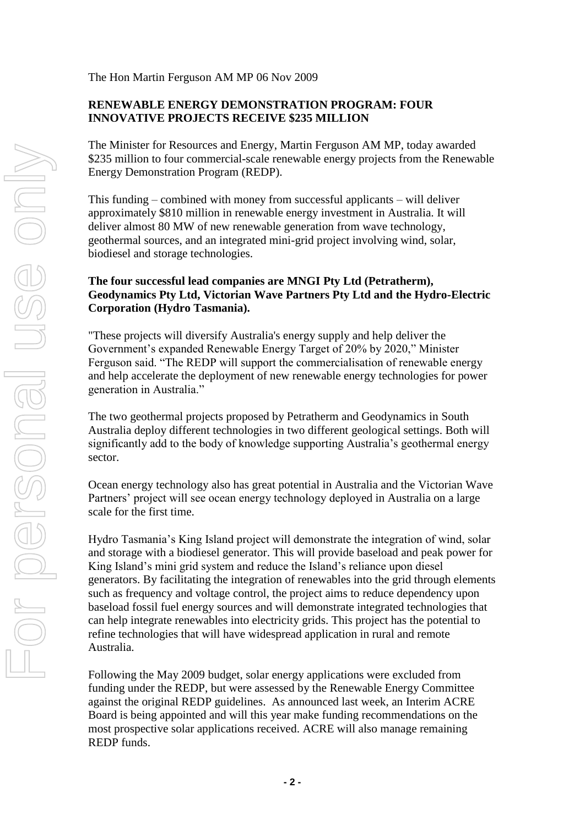The Hon Martin Ferguson AM MP 06 Nov 2009

## **RENEWABLE ENERGY DEMONSTRATION PROGRAM: FOUR INNOVATIVE PROJECTS RECEIVE \$235 MILLION**

The Minister for Resources and Energy, Martin Ferguson AM MP, today awarded \$235 million to four commercial-scale renewable energy projects from the Renewable Energy Demonstration Program (REDP).

This funding – combined with money from successful applicants – will deliver approximately \$810 million in renewable energy investment in Australia. It will deliver almost 80 MW of new renewable generation from wave technology, geothermal sources, and an integrated mini-grid project involving wind, solar, biodiesel and storage technologies.

## **The four successful lead companies are MNGI Pty Ltd (Petratherm), Geodynamics Pty Ltd, Victorian Wave Partners Pty Ltd and the Hydro-Electric Corporation (Hydro Tasmania).**

"These projects will diversify Australia's energy supply and help deliver the Government"s expanded Renewable Energy Target of 20% by 2020," Minister Ferguson said. "The REDP will support the commercialisation of renewable energy and help accelerate the deployment of new renewable energy technologies for power generation in Australia."

The two geothermal projects proposed by Petratherm and Geodynamics in South Australia deploy different technologies in two different geological settings. Both will significantly add to the body of knowledge supporting Australia"s geothermal energy sector.

Ocean energy technology also has great potential in Australia and the Victorian Wave Partners" project will see ocean energy technology deployed in Australia on a large scale for the first time.

Hydro Tasmania"s King Island project will demonstrate the integration of wind, solar and storage with a biodiesel generator. This will provide baseload and peak power for King Island's mini grid system and reduce the Island's reliance upon diesel generators. By facilitating the integration of renewables into the grid through elements such as frequency and voltage control, the project aims to reduce dependency upon baseload fossil fuel energy sources and will demonstrate integrated technologies that can help integrate renewables into electricity grids. This project has the potential to refine technologies that will have widespread application in rural and remote Australia.

Following the May 2009 budget, solar energy applications were excluded from funding under the REDP, but were assessed by the Renewable Energy Committee against the original REDP guidelines. As announced last week, an Interim ACRE Board is being appointed and will this year make funding recommendations on the most prospective solar applications received. ACRE will also manage remaining REDP funds.